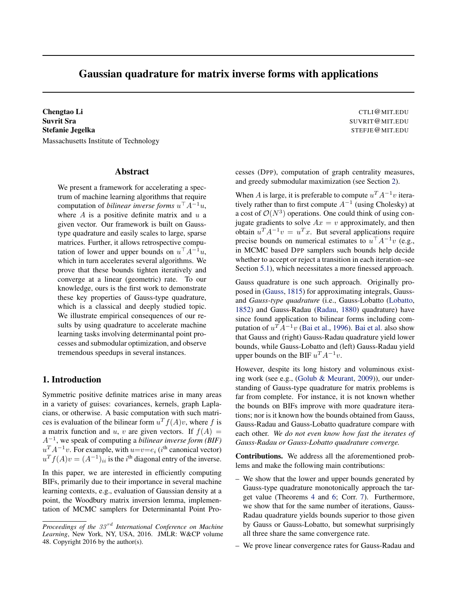# Gaussian quadrature for matrix inverse forms with applications

Chengtao Li **Chengtao Li** CTLI QUE ANNO 2002 CTLI QUE ANNO 2002 CTLI QUE ANNO 2002 CTLI QUE ANNO 2002 CTLI QUE ANNO 2002 CTLI QUE ANNO 2002 CTLI QUE ANNO 2002 CTLI QUE ANNO 2002 CTLI QUE ANNO 2002 CTLI QUE ANNO 2002 CTLI Q Suvrit Sra Suvrit Sra Suvrit Sra Suvrit Sra Suvrit Sra Suvrit Graduation Suvrit Sra Suvrit Graduation Suvrit G Stefanie Jegelka Stefanie Stefanie Stefanie Stefanie Stefanie Stefanie Stefanie Stefanie Stefanie Stefanie Stef Massachusetts Institute of Technology

#### Abstract

We present a framework for accelerating a spectrum of machine learning algorithms that require computation of *bilinear inverse forms*  $u^{\top} A^{-1} u$ , where *A* is a positive definite matrix and *u* a given vector. Our framework is built on Gausstype quadrature and easily scales to large, sparse matrices. Further, it allows retrospective computation of lower and upper bounds on  $u^{\top} A^{-1} u$ , which in turn accelerates several algorithms. We prove that these bounds tighten iteratively and converge at a linear (geometric) rate. To our knowledge, ours is the first work to demonstrate these key properties of Gauss-type quadrature, which is a classical and deeply studied topic. We illustrate empirical consequences of our results by using quadrature to accelerate machine learning tasks involving determinantal point processes and submodular optimization, and observe tremendous speedups in several instances.

# 1. Introduction

Symmetric positive definite matrices arise in many areas in a variety of guises: covariances, kernels, graph Laplacians, or otherwise. A basic computation with such matrices is evaluation of the bilinear form  $u^T f(A)v$ , where f is a matrix function and *u*, *v* are given vectors. If  $f(A) =$  $A^{-1}$ , we speak of computing a *bilinear inverse form* (*BIF*)  $u^T A^{-1} v$ . For example, with  $u = v = e_i$  (*i*<sup>th</sup> canonical vector)  $u<sup>T</sup> f(A)v = (A<sup>-1</sup>)<sub>ii</sub>$  is the *i*<sup>th</sup> diagonal entry of the inverse.

In this paper, we are interested in efficiently computing BIFs, primarily due to their importance in several machine learning contexts, e.g., evaluation of Gaussian density at a point, the Woodbury matrix inversion lemma, implementation of MCMC samplers for Determinantal Point Pro-

cesses (DPP), computation of graph centrality measures, and greedy submodular maximization (see Section 2).

When *A* is large, it is preferable to compute  $u^T A^{-1} v$  iteratively rather than to first compute  $A^{-1}$  (using Cholesky) at a cost of  $\mathcal{O}(N^3)$  operations. One could think of using conjugate gradients to solve  $Ax = v$  approximately, and then obtain  $u^T A^{-1} v = u^T x$ . But several applications require precise bounds on numerical estimates to  $u^{\top} A^{-1} v$  (e.g., in MCMC based DPP samplers such bounds help decide whether to accept or reject a transition in each iteration–see Section 5.1), which necessitates a more finessed approach.

Gauss quadrature is one such approach. Originally proposed in (Gauss, 1815) for approximating integrals, Gaussand *Gauss-type quadrature* (i.e., Gauss-Lobatto (Lobatto, 1852) and Gauss-Radau (Radau, 1880) quadrature) have since found application to bilinear forms including computation of  $u^T A^{-1} v$  (Bai et al., 1996). Bai et al. also show that Gauss and (right) Gauss-Radau quadrature yield lower bounds, while Gauss-Lobatto and (left) Gauss-Radau yield upper bounds on the BIF  $u^T A^{-1} v$ .

However, despite its long history and voluminous existing work (see e.g., (Golub & Meurant, 2009)), our understanding of Gauss-type quadrature for matrix problems is far from complete. For instance, it is not known whether the bounds on BIFs improve with more quadrature iterations; nor is it known how the bounds obtained from Gauss, Gauss-Radau and Gauss-Lobatto quadrature compare with each other. *We do not even know how fast the iterates of Gauss-Radau or Gauss-Lobatto quadrature converge.*

Contributions. We address all the aforementioned problems and make the following main contributions:

- We show that the lower and upper bounds generated by Gauss-type quadrature monotonically approach the target value (Theorems 4 and 6; Corr. 7). Furthermore, we show that for the same number of iterations, Gauss-Radau quadrature yields bounds superior to those given by Gauss or Gauss-Lobatto, but somewhat surprisingly all three share the same convergence rate.
- We prove linear convergence rates for Gauss-Radau and

*Proceedings of the 33 rd International Conference on Machine Learning*, New York, NY, USA, 2016. JMLR: W&CP volume 48. Copyright 2016 by the author(s).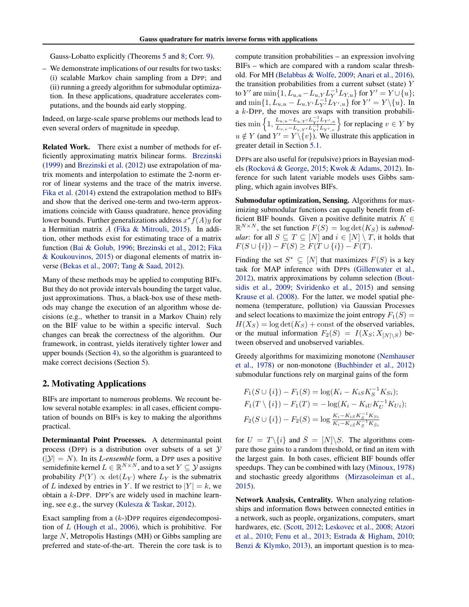Gauss-Lobatto explicitly (Theorems 5 and 8; Corr. 9).

– We demonstrate implications of our results for two tasks: (i) scalable Markov chain sampling from a DPP; and (ii) running a greedy algorithm for submodular optimization. In these applications, quadrature accelerates computations, and the bounds aid early stopping.

Indeed, on large-scale sparse problems our methods lead to even several orders of magnitude in speedup.

Related Work. There exist a number of methods for efficiently approximating matrix bilinear forms. Brezinski (1999) and Brezinski et al. (2012) use extrapolation of matrix moments and interpolation to estimate the 2-norm error of linear systems and the trace of the matrix inverse. Fika et al. (2014) extend the extrapolation method to BIFs and show that the derived one-term and two-term approximations coincide with Gauss quadrature, hence providing lower bounds. Further generalizations address  $x^* f(A)y$  for a Hermitian matrix *A* (Fika & Mitrouli, 2015). In addition, other methods exist for estimating trace of a matrix function (Bai & Golub, 1996; Brezinski et al., 2012; Fika & Koukouvinos, 2015) or diagonal elements of matrix inverse (Bekas et al., 2007; Tang & Saad, 2012).

Many of these methods may be applied to computing BIFs. But they do not provide intervals bounding the target value, just approximations. Thus, a black-box use of these methods may change the execution of an algorithm whose decisions (e.g., whether to transit in a Markov Chain) rely on the BIF value to be within a specific interval. Such changes can break the correctness of the algorithm. Our framework, in contrast, yields iteratively tighter lower and upper bounds (Section 4), so the algorithm is guaranteed to make correct decisions (Section 5).

# 2. Motivating Applications

BIFs are important to numerous problems. We recount below several notable examples: in all cases, efficient computation of bounds on BIFs is key to making the algorithms practical.

Determinantal Point Processes. A determinantal point process (DPP) is a distribution over subsets of a set *Y*  $(|\mathcal{Y}| = N)$ . In its *L-ensemble* form, a DPP uses a positive semidefinite kernel  $L \in \mathbb{R}^{N \times N}$ , and to a set  $Y \subseteq \mathcal{Y}$  assigns probability  $P(Y) \propto \det(L_Y)$  where  $L_Y$  is the submatrix of *L* indexed by entries in *Y*. If we restrict to  $|Y| = k$ , we obtain a *k*-DPP. DPP's are widely used in machine learning, see e.g., the survey (Kulesza & Taskar, 2012).

Exact sampling from a (*k*-)DPP requires eigendecomposition of *L* (Hough et al., 2006), which is prohibitive. For large *N*, Metropolis Hastings (MH) or Gibbs sampling are preferred and state-of-the-art. Therein the core task is to compute transition probabilities – an expression involving BIFs – which are compared with a random scalar threshold. For MH (Belabbas & Wolfe, 2009; Anari et al., 2016), the transition probabilities from a current subset (state) *Y* to *Y'* are  $\min\{1, L_{u,u} - L_{u,Y}L_Y^{-1}L_{Y,u}\}$  for  $Y' = Y \cup \{u\}$ ; and  $\min\{1, L_{u,u} - L_{u,Y'}L_{Y'}^{-1}L_{Y',u}\}$  for  $Y' = Y \setminus \{u\}$ . In a *k*-DPP, the moves are swaps with transition probabilities min  $\left\{1, \frac{L_{u,u} - L_{u,Y'} L_{Y'}^{-1} L_{Y',u}}{L_{I} - L_{I}^{-1} L_{I'}}\right\}$  $L_{v,v} - L_{v,Y'} L_{Y'}^{-1} L_{Y',v}$  $\}$  for replacing  $v \in Y$  by  $u \notin Y$  (and  $Y' = Y \setminus \{v\}$ ). We illustrate this application in greater detail in Section 5.1.

DPPs are also useful for (repulsive) priors in Bayesian models (Rocková & George, 2015; Kwok & Adams, 2012). Inference for such latent variable models uses Gibbs sampling, which again involves BIFs.

Submodular optimization, Sensing. Algorithms for maximizing submodular functions can equally benefit from efficient BIF bounds. Given a positive definite matrix  $K \in$  $\mathbb{R}^{N \times N}$ , the set function  $F(S) = \log \det(K_S)$  is *submodular*: for all  $S \subseteq T \subseteq [N]$  and  $i \in [N] \setminus T$ , it holds that  $F(S \cup \{i\}) - F(S) \geq F(T \cup \{i\}) - F(T).$ 

Finding the set  $S^* \subseteq [N]$  that maximizes  $F(S)$  is a key task for MAP inference with DPPs (Gillenwater et al., 2012), matrix approximations by column selection (Boutsidis et al., 2009; Sviridenko et al., 2015) and sensing Krause et al. (2008). For the latter, we model spatial phenomena (temperature, pollution) via Gaussian Processes and select locations to maximize the joint entropy  $F_1(S)$  =  $H(X_S) = \log \det(K_S) + \text{const}$  of the observed variables, or the mutual information  $F_2(S) = I(X_S; X_{[N] \setminus S})$  between observed and unobserved variables.

Greedy algorithms for maximizing monotone (Nemhauser et al., 1978) or non-monotone (Buchbinder et al., 2012) submodular functions rely on marginal gains of the form

$$
F_1(S \cup \{i\}) - F_1(S) = \log(K_i - K_{iS}K_S^{-1}K_{Si});
$$
  
\n
$$
F_1(T \setminus \{i\}) - F_1(T) = -\log(K_i - K_{iU}K_U^{-1}K_{Ui});
$$
  
\n
$$
F_2(S \cup \{i\}) - F_2(S) = \log \frac{K_i - K_{iS}K_S^{-1}K_{Si}}{K_i - K_{iS}K_S^{-1}K_{Si}}
$$

for  $U = T \setminus \{i\}$  and  $\overline{S} = [N] \setminus S$ . The algorithms compare those gains to a random threshold, or find an item with the largest gain. In both cases, efficient BIF bounds offer speedups. They can be combined with lazy (Minoux, 1978) and stochastic greedy algorithms (Mirzasoleiman et al., 2015).

Network Analysis, Centrality. When analyzing relationships and information flows between connected entities in a network, such as people, organizations, computers, smart hardwares, etc. (Scott, 2012; Leskovec et al., 2008; Atzori et al., 2010; Fenu et al., 2013; Estrada & Higham, 2010; Benzi & Klymko, 2013), an important question is to mea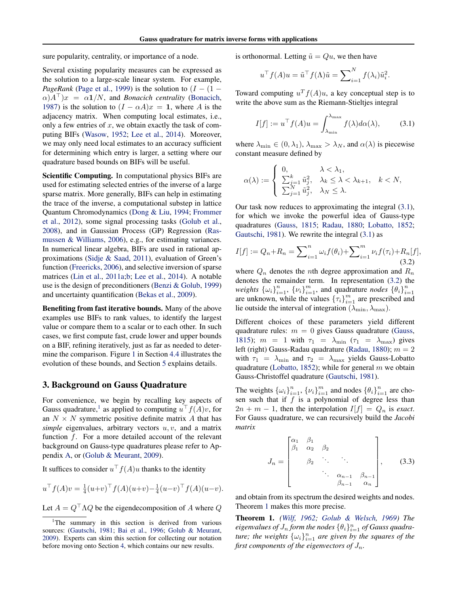sure popularity, centrality, or importance of a node.

Several existing popularity measures can be expressed as the solution to a large-scale linear system. For example, *PageRank* (Page et al., 1999) is the solution to  $(I - (1 \alpha$ ) $A^{\top}$ ) $x = \alpha \mathbf{1}/N$ , and *Bonacich centrality* (Bonacich, 1987) is the solution to  $(I - \alpha A)x = 1$ , where *A* is the adjacency matrix. When computing local estimates, i.e., only a few entries of *x*, we obtain exactly the task of computing BIFs (Wasow, 1952; Lee et al., 2014). Moreover, we may only need local estimates to an accuracy sufficient for determining which entry is larger, a setting where our quadrature based bounds on BIFs will be useful.

Scientific Computing. In computational physics BIFs are used for estimating selected entries of the inverse of a large sparse matrix. More generally, BIFs can help in estimating the trace of the inverse, a computational substep in lattice Quantum Chromodynamics (Dong & Liu, 1994; Frommer et al., 2012), some signal processing tasks (Golub et al., 2008), and in Gaussian Process (GP) Regression (Rasmussen & Williams, 2006), e.g., for estimating variances. In numerical linear algebra, BIFs are used in rational approximations (Sidje & Saad, 2011), evaluation of Green's function (Freericks, 2006), and selective inversion of sparse matrices (Lin et al., 2011a;b; Lee et al., 2014). A notable use is the design of preconditioners (Benzi & Golub, 1999) and uncertainty quantification (Bekas et al., 2009).

Benefiting from fast iterative bounds. Many of the above examples use BIFs to rank values, to identify the largest value or compare them to a scalar or to each other. In such cases, we first compute fast, crude lower and upper bounds on a BIF, refining iteratively, just as far as needed to determine the comparison. Figure 1 in Section 4.4 illustrates the evolution of these bounds, and Section 5 explains details.

### 3. Background on Gauss Quadrature

For convenience, we begin by recalling key aspects of Gauss quadrature,<sup>1</sup> as applied to computing  $u^{\top} f(A)v$ , for an  $N \times N$  symmetric positive definite matrix A that has *simple* eigenvalues, arbitrary vectors *u, v*, and a matrix function *f*. For a more detailed account of the relevant background on Gauss-type quadratures please refer to Appendix A, or (Golub & Meurant, 2009).

It suffices to consider  $u^{\top} f(A)u$  thanks to the identity

$$
u^{\top} f(A)v = \frac{1}{4} (u+v)^{\top} f(A)(u+v) - \frac{1}{4} (u-v)^{\top} f(A)(u-v).
$$

Let  $A = Q^{\top} \Lambda Q$  be the eigendecomposition of A where Q

is orthonormal. Letting  $\tilde{u} = Qu$ , we then have

$$
u^{\top} f(A) u = \tilde{u}^{\top} f(\Lambda) \tilde{u} = \sum_{i=1}^{N} f(\lambda_i) \tilde{u}_i^2.
$$

Toward computing  $u^T f(A)u$ , a key conceptual step is to write the above sum as the Riemann-Stieltjes integral

$$
I[f] := u^{\top} f(A) u = \int_{\lambda_{\min}}^{\lambda_{\max}} f(\lambda) d\alpha(\lambda), \quad (3.1)
$$

where  $\lambda_{\min} \in (0, \lambda_1)$ ,  $\lambda_{\max} > \lambda_N$ , and  $\alpha(\lambda)$  is piecewise constant measure defined by

$$
\alpha(\lambda) := \begin{cases} 0, & \lambda < \lambda_1, \\ \sum_{j=1}^k \tilde{u}_j^2, & \lambda_k \leq \lambda < \lambda_{k+1}, & k < N, \\ \sum_{j=1}^N \tilde{u}_j^2, & \lambda_N \leq \lambda. \end{cases}
$$

Our task now reduces to approximating the integral (3.1), for which we invoke the powerful idea of Gauss-type quadratures (Gauss, 1815; Radau, 1880; Lobatto, 1852; Gautschi, 1981). We rewrite the integral (3.1) as

$$
I[f] := Q_n + R_n = \sum_{i=1}^n \omega_i f(\theta_i) + \sum_{i=1}^m \nu_i f(\tau_i) + R_n[f],
$$
\n(3.2)

where  $Q_n$  denotes the *n*th degree approximation and  $R_n$ denotes the remainder term. In representation (3.2) the *weights*  $\{\omega_i\}_{i=1}^n$ ,  $\{\nu_i\}_{i=1}^m$ , and quadrature *nodes*  $\{\theta_i\}_{i=1}^n$ are unknown, while the values  ${\lbrace \tau_i \rbrace}_{i=1}^m$  are prescribed and lie outside the interval of integration ( $\lambda_{\min}, \lambda_{\max}$ ).

Different choices of these parameters yield different quadrature rules:  $m = 0$  gives Gauss quadrature (Gauss, 1815);  $m = 1$  with  $\tau_1 = \lambda_{\min}$  ( $\tau_1 = \lambda_{\max}$ ) gives left (right) Gauss-Radau quadrature (Radau, 1880); *m* = 2 with  $\tau_1 = \lambda_{\min}$  and  $\tau_2 = \lambda_{\max}$  yields Gauss-Lobatto quadrature (Lobatto, 1852); while for general *m* we obtain Gauss-Christoffel quadrature (Gautschi, 1981).

The weights  $\{\omega_i\}_{i=1}^n$ ,  $\{\nu_i\}_{i=1}^m$  and nodes  $\{\theta_i\}_{i=1}^n$  are chosen such that if *f* is a polynomial of degree less than  $2n + m - 1$ , then the interpolation  $I[f] = Q_n$  is *exact*. For Gauss quadrature, we can recursively build the *Jacobi matrix*

$$
J_n = \begin{bmatrix} \alpha_1 & \beta_1 & & & \\ \beta_1 & \alpha_2 & \beta_2 & & \\ & \beta_2 & \ddots & & \\ & & \ddots & \ddots & \\ & & & \alpha_{n-1} & \beta_{n-1} \\ & & & & \beta_{n-1} & \alpha_n \end{bmatrix},
$$
 (3.3)

and obtain from its spectrum the desired weights and nodes. Theorem 1 makes this more precise.

Theorem 1. *(Wilf, 1962; Golub & Welsch, 1969) The*  $e$ igenvalues of  $J_n$  form the nodes  $\{\theta_i\}_{i=1}^n$  of Gauss quadra*ture; the weights*  $\{\omega_i\}_{i=1}^n$  *are given by the squares of the first components of the eigenvectors of*  $J_n$ *.* 

<sup>&</sup>lt;sup>1</sup>The summary in this section is derived from various sources: (Gautschi, 1981; Bai et al., 1996; Golub & Meurant, 2009). Experts can skim this section for collecting our notation before moving onto Section 4, which contains our new results.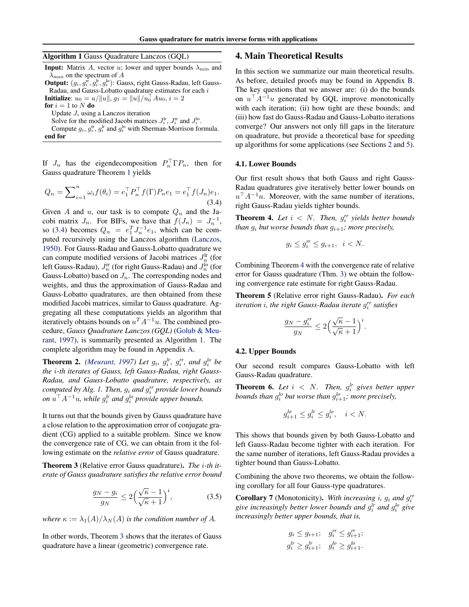Algorithm 1 Gauss Quadrature Lanczos (GQL)

**Input:** Matrix *A*, vector *u*; lower and upper bounds  $\lambda_{\min}$  and  $\lambda_{\text{max}}$  on the spectrum of A

Output:  $(g_i, g_i^{\text{fr}}, g_i^{\text{lr}}, g_i^{\text{lo}})$ : Gauss, right Gauss-Radau, left Gauss-Radau, and Gauss-Lobatto quadrature estimates for each *i*

**Initialize**:  $u_0 = u/||u||$ ,  $g_1 = ||u||/u_0^{\top} A u_0$ ,  $i = 2$ 

for  $i = 1$  to  $N$  do

Update *J<sup>i</sup>* using a Lanczos iteration

Solve for the modified Jacobi matrices  $J_i^{\text{lr}}$ ,  $J_i^{\text{rr}}$  and  $J_i^{\text{lo}}$ .

Compute  $g_i$ ,  $g_i^{\text{tr}}$ ,  $g_i^{\text{lr}}$  and  $g_i^{\text{lo}}$  with Sherman-Morrison formula. end for

If  $J_n$  has the eigendecomposition  $P_n^{\dagger} \Gamma P_n$ , then for Gauss quadrature Theorem 1 yields

$$
Q_n = \sum_{i=1}^n \omega_i f(\theta_i) = e_1^\top P_n^\top f(\Gamma) P_n e_1 = e_1^\top f(J_n) e_1.
$$
\n(3.4)

Given *A* and *u*, our task is to compute  $Q_n$  and the Jacobi matrix  $J_n$ . For BIFs, we have that  $f(J_n) = J_n^{-1}$ , so (3.4) becomes  $Q_n = e_1^T J_n^{-1} e_1$ , which can be computed recursively using the Lanczos algorithm (Lanczos, 1950). For Gauss-Radau and Gauss-Lobatto quadrature we can compute modified versions of Jacobi matrices  $J_n^{\text{lr}}$  (for left Gauss-Radau),  $J_n^{\text{rr}}$  (for right Gauss-Radau) and  $J_n^{\text{lo}}$  (for Gauss-Lobatto) based on  $J_n$ . The corresponding nodes and weights, and thus the approximation of Gauss-Radau and Gauss-Lobatto quadratures, are then obtained from these modified Jacobi matrices, similar to Gauss quadrature. Aggregating all these computations yields an algorithm that iteratively obtains bounds on  $u^T A^{-1} u$ . The combined procedure, *Gauss Quadrature Lanczos (GQL)* (Golub & Meurant, 1997), is summarily presented as Algorithm 1. The complete algorithm may be found in Appendix A.

**Theorem 2.** *(Meurant, 1997) Let*  $g_i$ ,  $g_i^{lr}$ ,  $g_i^{rr}$ , and  $g_i^{lo}$  be *the i-th iterates of Gauss, left Gauss-Radau, right Gauss-Radau, and Gauss-Lobatto quadrature, respectively, as computed by Alg. 1. Then, g<sup>i</sup> and grr <sup>i</sup> provide lower bounds on*  $u^{\top} A^{-1}u$ , while  $g_i^{lr}$  *and*  $g_i^{lo}$  *provide upper bounds.* 

It turns out that the bounds given by Gauss quadrature have a close relation to the approximation error of conjugate gradient (CG) applied to a suitable problem. Since we know the convergence rate of CG, we can obtain from it the following estimate on the *relative error* of Gauss quadrature.

Theorem 3 (Relative error Gauss quadrature). *The i-th iterate of Gauss quadrature satisfies the relative error bound*

$$
\frac{g_N - g_i}{g_N} \le 2\left(\frac{\sqrt{\kappa} - 1}{\sqrt{\kappa} + 1}\right)^i, \tag{3.5}
$$

*where*  $\kappa := \lambda_1(A)/\lambda_N(A)$  *is the condition number of A.* 

In other words, Theorem 3 shows that the iterates of Gauss quadrature have a linear (geometric) convergence rate.

# 4. Main Theoretical Results

In this section we summarize our main theoretical results. As before, detailed proofs may be found in Appendix B. The key questions that we answer are: (i) do the bounds on  $u^{\top} A^{-1}u$  generated by GQL improve monotonically with each iteration; (ii) how tight are these bounds; and (iii) how fast do Gauss-Radau and Gauss-Lobatto iterations converge? Our answers not only fill gaps in the literature on quadrature, but provide a theoretical base for speeding up algorithms for some applications (see Sections 2 and 5).

#### 4.1. Lower Bounds

Our first result shows that both Gauss and right Gauss-Radau quadratures give iteratively better lower bounds on  $u^{\top}A^{-1}u$ . Moreover, with the same number of iterations, right Gauss-Radau yields tighter bounds.

**Theorem 4.** Let  $i < N$ . Then,  $g_i^{rr}$  yields better bounds *than*  $g_i$  *but worse bounds than*  $g_{i+1}$ *; more precisely,* 

$$
g_i \le g_i^{rr} \le g_{i+1}, \ \ i < N.
$$

Combining Theorem 4 with the convergence rate of relative error for Gauss quadrature (Thm. 3) we obtain the following convergence rate estimate for right Gauss-Radau.

Theorem 5 (Relative error right Gauss-Radau). *For each iteration i, the right Gauss-Radau iterate grr <sup>i</sup> satisfies*

$$
\frac{g_N - g_i^{rr}}{g_N} \le 2 \Big(\frac{\sqrt{\kappa} - 1}{\sqrt{\kappa} + 1}\Big)^i.
$$

#### 4.2. Upper Bounds

Our second result compares Gauss-Lobatto with left Gauss-Radau quadrature.

**Theorem 6.** Let  $i < N$ . Then,  $g_i^{lr}$  gives better upper *bounds than*  $g_i^{lo}$  *but worse than*  $g_{i+1}^{lo}$ *; more precisely,* 

$$
g_{i+1}^{lo} \le g_i^{lr} \le g_i^{lo}, \quad i < N.
$$

This shows that bounds given by both Gauss-Lobatto and left Gauss-Radau become tighter with each iteration. For the same number of iterations, left Gauss-Radau provides a tighter bound than Gauss-Lobatto.

Combining the above two theorems, we obtain the following corollary for all four Gauss-type quadratures.

Corollary 7 (Monotonicity). *With increasing i, g<sup>i</sup> and grr i give increasingly better lower bounds and*  $g_i^{lr}$  *and*  $g_i^{lo}$  *give increasingly better upper bounds, that is,*

$$
g_i \le g_{i+1}; \quad g_i^r \le g_{i+1}^{r};
$$
  

$$
g_i^{lr} \ge g_{i+1}^{lr}; \quad g_i^{lo} \ge g_{i+1}^{lo}.
$$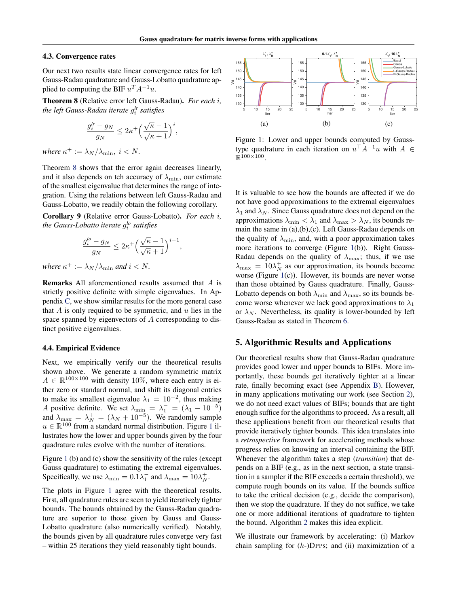#### 4.3. Convergence rates

Our next two results state linear convergence rates for left Gauss-Radau quadrature and Gauss-Lobatto quadrature applied to computing the BIF  $u^T A^{-1} u$ .

Theorem 8 (Relative error left Gauss-Radau). *For each i, the left Gauss-Radau iterate glr <sup>i</sup> satisfies*

$$
\frac{g_i^{lr}-g_N}{g_N}\leq 2\kappa^+\Big(\frac{\sqrt{\kappa}-1}{\sqrt{\kappa}+1}\Big)^i,
$$

*where*  $\kappa^+ := \lambda_N / \lambda_{\min}, i \leq N$ .

Theorem 8 shows that the error again decreases linearly, and it also depends on teh accuracy of  $\lambda_{\min}$ , our estimate of the smallest eigenvalue that determines the range of integration. Using the relations between left Gauss-Radau and Gauss-Lobatto, we readily obtain the following corollary.

Corollary 9 (Relative error Gauss-Lobatto). *For each i, the Gauss-Lobatto iterate glo <sup>i</sup> satisfies*

$$
\frac{g_i^{lo}-g_N}{g_N}\leq 2\kappa^+\Big(\frac{\sqrt{\kappa}-1}{\sqrt{\kappa}+1}\Big)^{i-1},
$$

*where*  $\kappa^+ := \lambda_N / \lambda_{\min}$  *and*  $i < N$ *.* 

Remarks All aforementioned results assumed that *A* is strictly positive definite with simple eigenvalues. In Appendix C, we show similar results for the more general case that *A* is only required to be symmetric, and *u* lies in the space spanned by eigenvectors of *A* corresponding to distinct positive eigenvalues.

#### 4.4. Empirical Evidence

Next, we empirically verify our the theoretical results shown above. We generate a random symmetric matrix  $A \in \mathbb{R}^{100 \times 100}$  with density 10%, where each entry is either zero or standard normal, and shift its diagonal entries to make its smallest eigenvalue  $\lambda_1 = 10^{-2}$ , thus making *A* positive definite. We set  $\lambda_{\min} = \lambda_1^- = (\lambda_1 - 10^{-5})$ and  $\lambda_{\text{max}} = \lambda_N^+ = (\lambda_N + 10^{-5})$ . We randomly sample  $u \in \mathbb{R}^{100}$  from a standard normal distribution. Figure 1 illustrates how the lower and upper bounds given by the four quadrature rules evolve with the number of iterations.

Figure 1 (b) and (c) show the sensitivity of the rules (except Gauss quadrature) to estimating the extremal eigenvalues. Specifically, we use  $\lambda_{\min} = 0.1\lambda_1^-$  and  $\lambda_{\max} = 10\lambda_N^+$ .

The plots in Figure 1 agree with the theoretical results. First, all quadrature rules are seen to yield iteratively tighter bounds. The bounds obtained by the Gauss-Radau quadrature are superior to those given by Gauss and Gauss-Lobatto quadrature (also numerically verified). Notably, the bounds given by all quadrature rules converge very fast – within 25 iterations they yield reasonably tight bounds.



Figure 1: Lower and upper bounds computed by Gausstype quadrature in each iteration on  $u^{\top} A^{-1} u$  with  $A \in$  $\mathbb{R}^{100\times100}$ 

It is valuable to see how the bounds are affected if we do not have good approximations to the extremal eigenvalues  $\lambda_1$  and  $\lambda_N$ . Since Gauss quadrature does not depend on the approximations  $\lambda_{\min} < \lambda_1$  and  $\lambda_{\max} > \lambda_N$ , its bounds remain the same in (a),(b),(c). Left Gauss-Radau depends on the quality of  $\lambda_{\min}$ , and, with a poor approximation takes more iterations to converge (Figure 1(b)). Right Gauss-Radau depends on the quality of  $\lambda_{\text{max}}$ ; thus, if we use  $\lambda_{\text{max}} = 10\lambda_N^+$  as our approximation, its bounds become worse (Figure 1(c)). However, its bounds are never worse than those obtained by Gauss quadrature. Finally, Gauss-Lobatto depends on both  $\lambda_{\min}$  and  $\lambda_{\max}$ , so its bounds become worse whenever we lack good approximations to  $\lambda_1$ or  $\lambda_N$ . Nevertheless, its quality is lower-bounded by left Gauss-Radau as stated in Theorem 6.

# 5. Algorithmic Results and Applications

Our theoretical results show that Gauss-Radau quadrature provides good lower and upper bounds to BIFs. More importantly, these bounds get iteratively tighter at a linear rate, finally becoming exact (see Appendix B). However, in many applications motivating our work (see Section 2), we do not need exact values of BIFs; bounds that are tight enough suffice for the algorithms to proceed. As a result, all these applications benefit from our theoretical results that provide iteratively tighter bounds. This idea translates into a *retrospective* framework for accelerating methods whose progress relies on knowing an interval containing the BIF. Whenever the algorithm takes a step (*transition*) that depends on a BIF (e.g., as in the next section, a state transition in a sampler if the BIF exceeds a certain threshold), we compute rough bounds on its value. If the bounds suffice to take the critical decision (e.g., decide the comparison), then we stop the quadrature. If they do not suffice, we take one or more additional iterations of quadrature to tighten the bound. Algorithm 2 makes this idea explicit.

We illustrate our framework by accelerating: (i) Markov chain sampling for (*k*-)DPPs; and (ii) maximization of a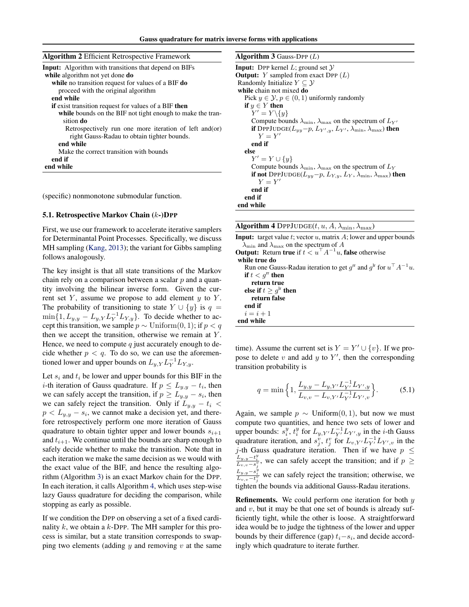| <b>Algorithm 2</b> Efficient Retrospective Framework         | <b>Algorithm</b>  |
|--------------------------------------------------------------|-------------------|
| <b>Input:</b> Algorithm with transitions that depend on BIFs | <b>Input: DPP</b> |
| while algorithm not yet done do                              | Output: $Y$       |
| while no transition request for values of a BIF do           | Randomly I        |
| proceed with the original algorithm                          | while chain       |
| end while                                                    | Pick $y \in$      |
| <b>if</b> exist transition request for values of a BIF then  | if $y \in Y$      |
| while bounds on the BIF not tight enough to make the tran-   | $Y' =$            |
| sition do                                                    | Compu             |
| Retrospectively run one more iteration of left and (or)      | if DPP.           |
| right Gauss-Radau to obtain tighter bounds.                  | $Y =$             |
| end while                                                    | end if            |
| Make the correct transition with bounds                      | else              |
| end if                                                       | $Y' =$            |
| end while                                                    | Compu             |
|                                                              | if not l          |

(specific) nonmonotone submodular function.

#### 5.1. Retrospective Markov Chain (*k*-)DPP

First, we use our framework to accelerate iterative samplers for Determinantal Point Processes. Specifically, we discuss MH sampling (Kang, 2013); the variant for Gibbs sampling follows analogously.

The key insight is that all state transitions of the Markov chain rely on a comparison between a scalar *p* and a quantity involving the bilinear inverse form. Given the current set *Y* , assume we propose to add element *y* to *Y* . The probability of transitioning to state  $Y \cup \{y\}$  is  $q =$  $\min\{1, L_{y,y} - L_y, Y L_Y^{-1} L_{Y,y}\}.$  To decide whether to accept this transition, we sample  $p \sim$  Uniform $(0, 1)$ ; if  $p < q$ then we accept the transition, otherwise we remain at *Y* . Hence, we need to compute *q* just accurately enough to decide whether  $p < q$ . To do so, we can use the aforementioned lower and upper bounds on  $L_{y, Y} L_Y^{-1} L_{Y, y}$ .

Let  $s_i$  and  $t_i$  be lower and upper bounds for this BIF in the *i*-th iteration of Gauss quadrature. If  $p \leq L_{y,y} - t_i$ , then we can safely accept the transition, if  $p \geq L_{y,y} - s_i$ , then we can safely reject the transition. Only if  $L_{y,y} - t_i$  $p < L_{y,y} - s_i$ , we cannot make a decision yet, and therefore retrospectively perform one more iteration of Gauss quadrature to obtain tighter upper and lower bounds  $s_{i+1}$ and  $t_{i+1}$ . We continue until the bounds are sharp enough to safely decide whether to make the transition. Note that in each iteration we make the same decision as we would with the exact value of the BIF, and hence the resulting algorithm (Algorithm 3) is an exact Markov chain for the DPP. In each iteration, it calls Algorithm 4, which uses step-wise lazy Gauss quadrature for deciding the comparison, while stopping as early as possible.

If we condition the DPP on observing a set of a fixed cardinality *k*, we obtain a *k*-DPP. The MH sampler for this process is similar, but a state transition corresponds to swapping two elements (adding *y* and removing *v* at the same

| <b>Algorithm 3</b> Gauss-DPP $(L)$ |  |  |  |  |
|------------------------------------|--|--|--|--|
|------------------------------------|--|--|--|--|

| <b>Input:</b> DPP kernel L; ground set $\mathcal{Y}$                                                  |
|-------------------------------------------------------------------------------------------------------|
| <b>Output:</b> Y sampled from exact DPP $(L)$                                                         |
| Randomly Initialize $Y \subseteq Y$                                                                   |
| while chain not mixed do                                                                              |
| Pick $y \in \mathcal{Y}, p \in (0, 1)$ uniformly randomly                                             |
| if $y \in Y$ then                                                                                     |
| $Y' = Y \setminus \{y\}$                                                                              |
| Compute bounds $\lambda_{\min}$ , $\lambda_{\max}$ on the spectrum of $L_{Y'}$                        |
| <b>if</b> DPPJUDGE( $L_{yy}$ -p, $L_{Y',y}$ , $L_{Y'}$ , $\lambda_{\min}$ , $\lambda_{\max}$ ) then   |
| $Y \equiv Y'$                                                                                         |
| end if                                                                                                |
| else                                                                                                  |
| $Y' = Y \cup \{y\}$                                                                                   |
| Compute bounds $\lambda_{\min}$ , $\lambda_{\max}$ on the spectrum of $L_Y$                           |
| <b>if not</b> DPPJUDGE( $L_{yy}-p$ , $L_{Y,y}$ , $L_{Y}$ , $\lambda_{\min}$ , $\lambda_{\max}$ ) then |
| $Y \equiv Y'$                                                                                         |
| end if                                                                                                |
| end if                                                                                                |
| end while                                                                                             |
|                                                                                                       |

|  | <b>Algorithm 4</b> DPPJUDGE( $t, u, A, \lambda_{\min}, \lambda_{\max}$ ) |  |  |
|--|--------------------------------------------------------------------------|--|--|
|--|--------------------------------------------------------------------------|--|--|

Input: target value *t*; vector *u*, matrix *A*; lower and upper bounds  $\lambda_{\min}$  and  $\lambda_{\max}$  on the spectrum of A **Output:** Return **true** if  $t < u<sup>T</sup> A<sup>-1</sup>u$ , **false** otherwise

| $5$ apparent recent in a control $\alpha$ is $\alpha$ , $\alpha$ is $\alpha$ , $\alpha$ in $\alpha$ in $\alpha$ |
|-----------------------------------------------------------------------------------------------------------------|
| while true do                                                                                                   |
| Run one Gauss-Radau iteration to get $g^{\text{tr}}$ and $g^{\text{tr}}$ for $u^{\top} A^{-1} u$ .              |
| if $t < q^{\text{rr}}$ then                                                                                     |
| return true                                                                                                     |
| else if $t \geq q^{\text{lr}}$ then                                                                             |
| return false                                                                                                    |
| end if                                                                                                          |
| $i=i+1$                                                                                                         |
| end while                                                                                                       |
|                                                                                                                 |

time). Assume the current set is  $Y = Y' \cup \{v\}$ . If we propose to delete  $v$  and add  $y$  to  $Y'$ , then the corresponding transition probability is

$$
q = \min\left\{1, \frac{L_{y,y} - L_{y,Y'} L_{Y'}^{-1} L_{Y',y}}{L_{v,v} - L_{v,Y'} L_{Y'}^{-1} L_{Y',v}}\right\}.
$$
 (5.1)

Again, we sample  $p \sim$  Uniform $(0, 1)$ , but now we must compute two quantities, and hence two sets of lower and upper bounds:  $s_i^y$ ,  $t_i^y$  for  $L_{y, Y'} L_{Y'}^{-1} L_{Y', y}$  in the *i*-th Gauss quadrature iteration, and  $s_j^v$ ,  $t_j^v$  for  $L_{v, Y'} L_{Y'}^{-1} L_{Y', v}$  in the *j*-th Gauss quadrature iteration. Then if we have  $p \leq$  $\frac{L_{y,y}-t_i^y}{L_{v,v}-s_j^y}$ , we can safely accept the transition; and if  $p \geq$  $\frac{L_{y,y} - s_j}{L_{v,v} - t_j^v}$  we can safely reject the transition; otherwise, we tighten the bounds via additional Gauss-Radau iterations.

Refinements. We could perform one iteration for both *y* and *v*, but it may be that one set of bounds is already sufficiently tight, while the other is loose. A straightforward idea would be to judge the tightness of the lower and upper bounds by their difference (gap)  $t_i - s_i$ , and decide accordingly which quadrature to iterate further.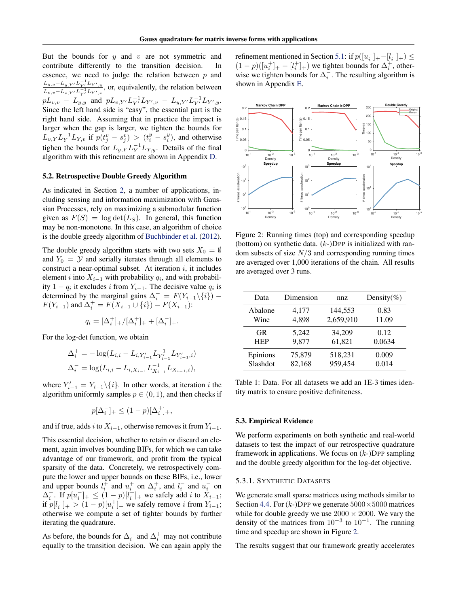But the bounds for *y* and *v* are not symmetric and contribute differently to the transition decision. In essence, we need to judge the relation between *p* and  $L_{y,y} - L_{y,Y} L_{Y}^{-1} L_{Y',y}$  $L_{v,v} = L_{v,Y} = L_{v,Y} = L_{Y} + L_{Y} = L_{Y}$ , or, equivalently, the relation between  $pL_{v,v} - L_{y,y}$  and  $pL_{v,Y'}L_{Y'}^{-1}L_{Y',v} - L_{y,Y'}L_{Y'}^{-1}L_{Y',y}$ . Since the left hand side is "easy", the essential part is the right hand side. Assuming that in practice the impact is larger when the gap is larger, we tighten the bounds for  $L_{v,Y} L_Y^{-1} L_{Y,v}$  if  $p(t_j^y - s_j^y) > (t_i^y - s_i^y)$ , and otherwise tighen the bounds for  $L_{y, Y} L_Y^{-1} L_{Y, y}$ . Details of the final algorithm with this refinement are shown in Appendix D.

#### 5.2. Retrospective Double Greedy Algorithm

As indicated in Section 2, a number of applications, including sensing and information maximization with Gaussian Processes, rely on maximizing a submodular function given as  $F(S) = \log \det(L_S)$ . In general, this function may be non-monotone. In this case, an algorithm of choice is the double greedy algorithm of Buchbinder et al. (2012).

The double greedy algorithm starts with two sets  $X_0 = \emptyset$ and  $Y_0 = Y$  and serially iterates through all elements to construct a near-optimal subset. At iteration *i*, it includes element *i* into  $X_{i-1}$  with probability  $q_i$ , and with probability  $1 - q_i$  it excludes *i* from  $Y_{i-1}$ . The decisive value  $q_i$  is determined by the marginal gains  $\Delta_i^- = F(Y_{i-1} \setminus \{i\})$  –  $F(Y_{i-1})$  and  $\Delta_i^+ = F(X_{i-1} \cup \{i\}) - F(X_{i-1})$ :

$$
q_i = [\Delta_i^+]_+ / [\Delta_i^+]_+ + [\Delta_i^-]_+.
$$

For the log-det function, we obtain

$$
\Delta_i^+ = -\log(L_{i,i} - L_{i,Y'_{i-1}} L_{Y'_{i-1}}^{-1} L_{Y'_{i-1},i})
$$
  

$$
\Delta_i^- = \log(L_{i,i} - L_{i,X_{i-1}} L_{X_{i-1}}^{-1} L_{X_{i-1},i}),
$$

where  $Y'_{i-1} = Y_{i-1} \setminus \{i\}$ . In other words, at iteration *i* the algorithm uniformly samples  $p \in (0, 1)$ , and then checks if

$$
p[\Delta_i^-]_+ \le (1-p)[\Delta_i^+]_+,
$$

and if true, adds *i* to  $X_{i-1}$ , otherwise removes it from  $Y_{i-1}$ .

This essential decision, whether to retain or discard an element, again involves bounding BIFs, for which we can take advantage of our framework, and profit from the typical sparsity of the data. Concretely, we retrospectively compute the lower and upper bounds on these BIFs, i.e., lower and upper bounds  $l_i^+$  and  $u_i^+$  on  $\Delta_i^+$ , and  $l_i^-$  and  $u_i^-$  on  $\Delta_i^-$ . If  $p[u_i^-]_+ \leq (1-p)[l_i^+]_+$  we safely add *i* to  $X_{i-1}$ ; if  $p[l_i^-]_+ > (1 - p)[u_i^+]_+$  we safely remove *i* from  $Y_{i-1}$ ; otherwise we compute a set of tighter bounds by further iterating the quadrature.

As before, the bounds for  $\Delta_i^-$  and  $\Delta_i^+$  may not contribute equally to the transition decision. We can again apply the

refinement mentioned in Section 5.1: if  $p([u_i^-]_+ - [l_i^-]_+) \le$  $(1-p)([u_i^+]_+ - [l_i^+]_+)$  we tighten bounds for  $\Delta_i^+$ , otherwise we tighten bounds for  $\Delta_i^-$ . The resulting algorithm is shown in Appendix E.



Figure 2: Running times (top) and corresponding speedup (bottom) on synthetic data. (*k*-)DPP is initialized with random subsets of size *N/*3 and corresponding running times are averaged over 1,000 iterations of the chain. All results are averaged over 3 runs.

| Data       | Dimension | nnz       | Density(%) |  |
|------------|-----------|-----------|------------|--|
| Abalone    | 4,177     | 144,553   | 0.83       |  |
| Wine       | 4,898     | 2,659,910 | 11.09      |  |
| <b>GR</b>  | 5.242     | 34,209    | 0.12       |  |
| <b>HEP</b> | 9,877     | 61,821    | 0.0634     |  |
| Epinions   | 75,879    | 518,231   | 0.009      |  |
| Slashdot   | 82,168    | 959,454   | 0.014      |  |

Table 1: Data. For all datasets we add an 1E-3 times identity matrix to ensure positive definiteness.

#### 5.3. Empirical Evidence

We perform experiments on both synthetic and real-world datasets to test the impact of our retrospective quadrature framework in applications. We focus on (*k*-)DPP sampling and the double greedy algorithm for the log-det objective.

#### 5.3.1. SYNTHETIC DATASETS

We generate small sparse matrices using methods similar to Section 4.4. For  $(k-)$ DPP we generate  $5000 \times 5000$  matrices while for double greedy we use  $2000 \times 2000$ . We vary the density of the matrices from  $10^{-3}$  to  $10^{-1}$ . The running time and speedup are shown in Figure 2.

The results suggest that our framework greatly accelerates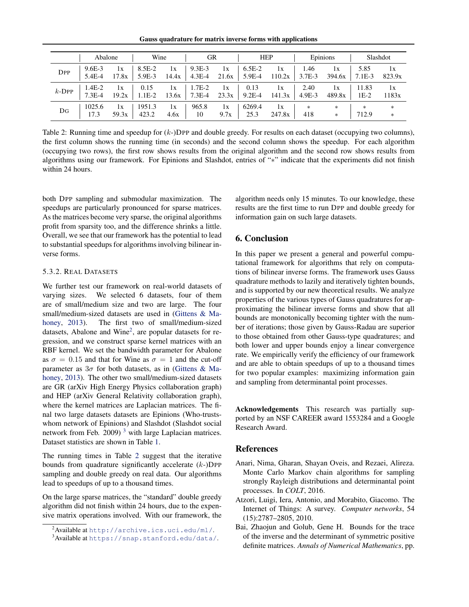Gauss quadrature for matrix inverse forms with applications

|            | Abalone              |             | Wine             |       | GR                           |             | <b>HEP</b>           |              | Epinions         |              |                  | Slashdot     |
|------------|----------------------|-------------|------------------|-------|------------------------------|-------------|----------------------|--------------|------------------|--------------|------------------|--------------|
| <b>DPP</b> | $9.6E - 3$<br>5.4E-4 | 1x<br>17.8x | 8.5E-2<br>5.9E-3 | 1x    | $9.3E-3$<br>$14.4x$   4.3E-4 | 1x<br>21.6x | $6.5E-2$<br>$5.9E-4$ | 1x<br>110.2x | 1.46<br>$3.7E-3$ | 1x<br>394.6x | 5.85<br>$7.1E-3$ | 1x<br>823.9x |
| $k$ -DPP   | $1.4E-2$             | 1x          | 0.15             | 1x    | $1.7E-2$                     | 1x          | 0.13                 | 1x           | 2.40             | 1x           | 11.83            | 1x           |
|            | $7.3E-4$             | 19.2x       | $1.1E-2$         | 13.6x | 7.3E-4                       | 23.3x       | $9.2E - 4$           | 141.3x       | $4.9E-3$         | 489.8x       | $1E-2$           | 1183x        |
| DG         | 1025.6               | 1x          | 1951.3           | 1x    | 965.8                        | 1x          | 6269.4               | 1x           | $\ast$           | $\ast$       | $\ast$           | $\ast$       |
|            | 17.3                 | 59.3x       | 423.2            | 4.6x  | 10                           | 9.7x        | 25.3                 | 247.8x       | 418              | $\ast$       | 712.9            | $\ast$       |

Table 2: Running time and speedup for (*k*-)DPP and double greedy. For results on each dataset (occupying two columns), the first column shows the running time (in seconds) and the second column shows the speedup. For each algorithm (occupying two rows), the first row shows results from the original algorithm and the second row shows results from algorithms using our framework. For Epinions and Slashdot, entries of "\*" indicate that the experiments did not finish within 24 hours.

both DPP sampling and submodular maximization. The speedups are particularly pronounced for sparse matrices. As the matrices become very sparse, the original algorithms profit from sparsity too, and the difference shrinks a little. Overall, we see that our framework has the potential to lead to substantial speedups for algorithms involving bilinear inverse forms.

### 5.3.2. REAL DATASETS

We further test our framework on real-world datasets of varying sizes. We selected 6 datasets, four of them are of small/medium size and two are large. The four small/medium-sized datasets are used in (Gittens & Mahoney, 2013). The first two of small/medium-sized datasets, Abalone and Wine<sup>2</sup>, are popular datasets for regression, and we construct sparse kernel matrices with an RBF kernel. We set the bandwidth parameter for Abalone as  $\sigma = 0.15$  and that for Wine as  $\sigma = 1$  and the cut-off parameter as  $3\sigma$  for both datasets, as in (Gittens & Mahoney, 2013). The other two small/medium-sized datasets are GR (arXiv High Energy Physics collaboration graph) and HEP (arXiv General Relativity collaboration graph), where the kernel matrices are Laplacian matrices. The final two large datasets datasets are Epinions (Who-trustswhom network of Epinions) and Slashdot (Slashdot social network from Feb. 2009)  $3$  with large Laplacian matrices. Dataset statistics are shown in Table 1.

The running times in Table 2 suggest that the iterative bounds from quadrature significantly accelerate (*k*-)DPP sampling and double greedy on real data. Our algorithms lead to speedups of up to a thousand times.

On the large sparse matrices, the "standard" double greedy algorithm did not finish within 24 hours, due to the expensive matrix operations involved. With our framework, the algorithm needs only 15 minutes. To our knowledge, these results are the first time to run DPP and double greedy for information gain on such large datasets.

# 6. Conclusion

In this paper we present a general and powerful computational framework for algorithms that rely on computations of bilinear inverse forms. The framework uses Gauss quadrature methods to lazily and iteratively tighten bounds, and is supported by our new theoretical results. We analyze properties of the various types of Gauss quadratures for approximating the bilinear inverse forms and show that all bounds are monotonically becoming tighter with the number of iterations; those given by Gauss-Radau are superior to those obtained from other Gauss-type quadratures; and both lower and upper bounds enjoy a linear convergence rate. We empirically verify the efficiency of our framework and are able to obtain speedups of up to a thousand times for two popular examples: maximizing information gain and sampling from determinantal point processes.

Acknowledgements This research was partially supported by an NSF CAREER award 1553284 and a Google Research Award.

# **References**

- Anari, Nima, Gharan, Shayan Oveis, and Rezaei, Alireza. Monte Carlo Markov chain algorithms for sampling strongly Rayleigh distributions and determinantal point processes. In *COLT*, 2016.
- Atzori, Luigi, Iera, Antonio, and Morabito, Giacomo. The Internet of Things: A survey. *Computer networks*, 54 (15):2787–2805, 2010.
- Bai, Zhaojun and Golub, Gene H. Bounds for the trace of the inverse and the determinant of symmetric positive definite matrices. *Annals of Numerical Mathematics*, pp.

 $^{2}$ Available at <code>http://archive.ics.uci.edu/ml/.</code>

 $^3$ Available at https://snap.stanford.edu/data/.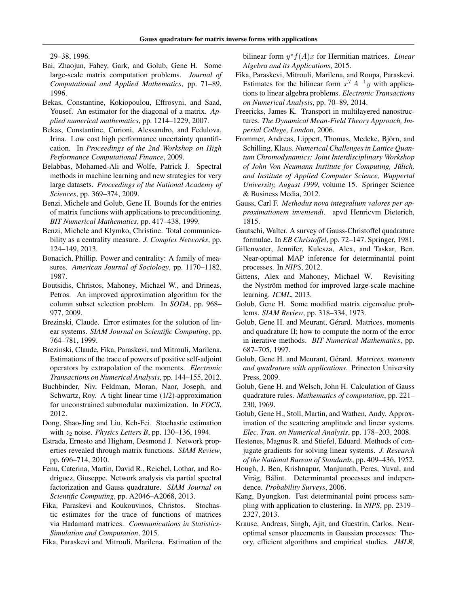29–38, 1996.

- Bai, Zhaojun, Fahey, Gark, and Golub, Gene H. Some large-scale matrix computation problems. *Journal of Computational and Applied Mathematics*, pp. 71–89, 1996.
- Bekas, Constantine, Kokiopoulou, Effrosyni, and Saad, Yousef. An estimator for the diagonal of a matrix. *Applied numerical mathematics*, pp. 1214–1229, 2007.
- Bekas, Constantine, Curioni, Alessandro, and Fedulova, Irina. Low cost high performance uncertainty quantification. In *Proceedings of the 2nd Workshop on High Performance Computational Finance*, 2009.
- Belabbas, Mohamed-Ali and Wolfe, Patrick J. Spectral methods in machine learning and new strategies for very large datasets. *Proceedings of the National Academy of Sciences*, pp. 369–374, 2009.
- Benzi, Michele and Golub, Gene H. Bounds for the entries of matrix functions with applications to preconditioning. *BIT Numerical Mathematics*, pp. 417–438, 1999.
- Benzi, Michele and Klymko, Christine. Total communicability as a centrality measure. *J. Complex Networks*, pp. 124–149, 2013.
- Bonacich, Phillip. Power and centrality: A family of measures. *American Journal of Sociology*, pp. 1170–1182, 1987.
- Boutsidis, Christos, Mahoney, Michael W., and Drineas, Petros. An improved approximation algorithm for the column subset selection problem. In *SODA*, pp. 968– 977, 2009.
- Brezinski, Claude. Error estimates for the solution of linear systems. *SIAM Journal on Scientific Computing*, pp. 764–781, 1999.
- Brezinski, Claude, Fika, Paraskevi, and Mitrouli, Marilena. Estimations of the trace of powers of positive self-adjoint operators by extrapolation of the moments. *Electronic Transactions on Numerical Analysis*, pp. 144–155, 2012.
- Buchbinder, Niv, Feldman, Moran, Naor, Joseph, and Schwartz, Roy. A tight linear time (1/2)-approximation for unconstrained submodular maximization. In *FOCS*, 2012.
- Dong, Shao-Jing and Liu, Keh-Fei. Stochastic estimation with *z*<sup>2</sup> noise. *Physics Letters B*, pp. 130–136, 1994.
- Estrada, Ernesto and Higham, Desmond J. Network properties revealed through matrix functions. *SIAM Review*, pp. 696–714, 2010.
- Fenu, Caterina, Martin, David R., Reichel, Lothar, and Rodriguez, Giuseppe. Network analysis via partial spectral factorization and Gauss quadrature. *SIAM Journal on Scientific Computing*, pp. A2046–A2068, 2013.
- Fika, Paraskevi and Koukouvinos, Christos. Stochastic estimates for the trace of functions of matrices via Hadamard matrices. *Communications in Statistics-Simulation and Computation*, 2015.
- Fika, Paraskevi and Mitrouli, Marilena. Estimation of the

bilinear form  $y^* f(A)x$  for Hermitian matrices. *Linear Algebra and its Applications*, 2015.

- Fika, Paraskevi, Mitrouli, Marilena, and Roupa, Paraskevi. Estimates for the bilinear form  $x^T A^{-1} y$  with applications to linear algebra problems. *Electronic Transactions on Numerical Analysis*, pp. 70–89, 2014.
- Freericks, James K. Transport in multilayered nanostructures. *The Dynamical Mean-Field Theory Approach, Imperial College, London*, 2006.
- Frommer, Andreas, Lippert, Thomas, Medeke, Björn, and Schilling, Klaus. *Numerical Challenges in Lattice Quantum Chromodynamics: Joint Interdisciplinary Workshop of John Von Neumann Institute for Computing, Julich, ¨ and Institute of Applied Computer Science, Wuppertal University, August 1999*, volume 15. Springer Science & Business Media, 2012.
- Gauss, Carl F. *Methodus nova integralium valores per approximationem inveniendi*. apvd Henricvm Dieterich, 1815.
- Gautschi, Walter. A survey of Gauss-Christoffel quadrature formulae. In *EB Christoffel*, pp. 72–147. Springer, 1981.
- Gillenwater, Jennifer, Kulesza, Alex, and Taskar, Ben. Near-optimal MAP inference for determinantal point processes. In *NIPS*, 2012.
- Gittens, Alex and Mahoney, Michael W. Revisiting the Nyström method for improved large-scale machine learning. *ICML*, 2013.
- Golub, Gene H. Some modified matrix eigenvalue problems. *SIAM Review*, pp. 318–334, 1973.
- Golub, Gene H. and Meurant, Gérard. Matrices, moments and quadrature II; how to compute the norm of the error in iterative methods. *BIT Numerical Mathematics*, pp. 687–705, 1997.
- Golub, Gene H. and Meurant, Gérard. Matrices, moments *and quadrature with applications*. Princeton University Press, 2009.
- Golub, Gene H. and Welsch, John H. Calculation of Gauss quadrature rules. *Mathematics of computation*, pp. 221– 230, 1969.
- Golub, Gene H., Stoll, Martin, and Wathen, Andy. Approximation of the scattering amplitude and linear systems. *Elec. Tran. on Numerical Analysis*, pp. 178–203, 2008.
- Hestenes, Magnus R. and Stiefel, Eduard. Methods of conjugate gradients for solving linear systems. *J. Research of the National Bureau of Standards*, pp. 409–436, 1952.
- Hough, J. Ben, Krishnapur, Manjunath, Peres, Yuval, and Virág, Bálint. Determinantal processes and independence. *Probability Surveys*, 2006.
- Kang, Byungkon. Fast determinantal point process sampling with application to clustering. In *NIPS*, pp. 2319– 2327, 2013.
- Krause, Andreas, Singh, Ajit, and Guestrin, Carlos. Nearoptimal sensor placements in Gaussian processes: Theory, efficient algorithms and empirical studies. *JMLR*,